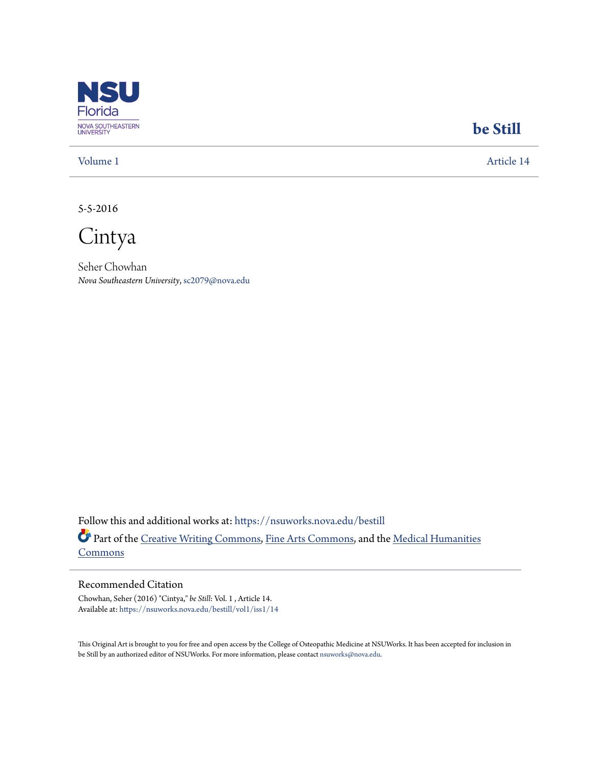

## **[be Still](https://nsuworks.nova.edu/bestill?utm_source=nsuworks.nova.edu%2Fbestill%2Fvol1%2Fiss1%2F14&utm_medium=PDF&utm_campaign=PDFCoverPages)**

[Volume 1](https://nsuworks.nova.edu/bestill/vol1?utm_source=nsuworks.nova.edu%2Fbestill%2Fvol1%2Fiss1%2F14&utm_medium=PDF&utm_campaign=PDFCoverPages) [Article 14](https://nsuworks.nova.edu/bestill/vol1/iss1/14?utm_source=nsuworks.nova.edu%2Fbestill%2Fvol1%2Fiss1%2F14&utm_medium=PDF&utm_campaign=PDFCoverPages)

5-5-2016

Cintya

Seher Chowhan *Nova Southeastern University*, sc2079@nova.edu

Follow this and additional works at: [https://nsuworks.nova.edu/bestill](https://nsuworks.nova.edu/bestill?utm_source=nsuworks.nova.edu%2Fbestill%2Fvol1%2Fiss1%2F14&utm_medium=PDF&utm_campaign=PDFCoverPages) Part of the [Creative Writing Commons](http://network.bepress.com/hgg/discipline/574?utm_source=nsuworks.nova.edu%2Fbestill%2Fvol1%2Fiss1%2F14&utm_medium=PDF&utm_campaign=PDFCoverPages), [Fine Arts Commons,](http://network.bepress.com/hgg/discipline/1141?utm_source=nsuworks.nova.edu%2Fbestill%2Fvol1%2Fiss1%2F14&utm_medium=PDF&utm_campaign=PDFCoverPages) and the [Medical Humanities](http://network.bepress.com/hgg/discipline/1303?utm_source=nsuworks.nova.edu%2Fbestill%2Fvol1%2Fiss1%2F14&utm_medium=PDF&utm_campaign=PDFCoverPages) [Commons](http://network.bepress.com/hgg/discipline/1303?utm_source=nsuworks.nova.edu%2Fbestill%2Fvol1%2Fiss1%2F14&utm_medium=PDF&utm_campaign=PDFCoverPages)

## Recommended Citation

Chowhan, Seher (2016) "Cintya," *be Still*: Vol. 1 , Article 14. Available at: [https://nsuworks.nova.edu/bestill/vol1/iss1/14](https://nsuworks.nova.edu/bestill/vol1/iss1/14?utm_source=nsuworks.nova.edu%2Fbestill%2Fvol1%2Fiss1%2F14&utm_medium=PDF&utm_campaign=PDFCoverPages)

This Original Art is brought to you for free and open access by the College of Osteopathic Medicine at NSUWorks. It has been accepted for inclusion in be Still by an authorized editor of NSUWorks. For more information, please contact [nsuworks@nova.edu](mailto:nsuworks@nova.edu).